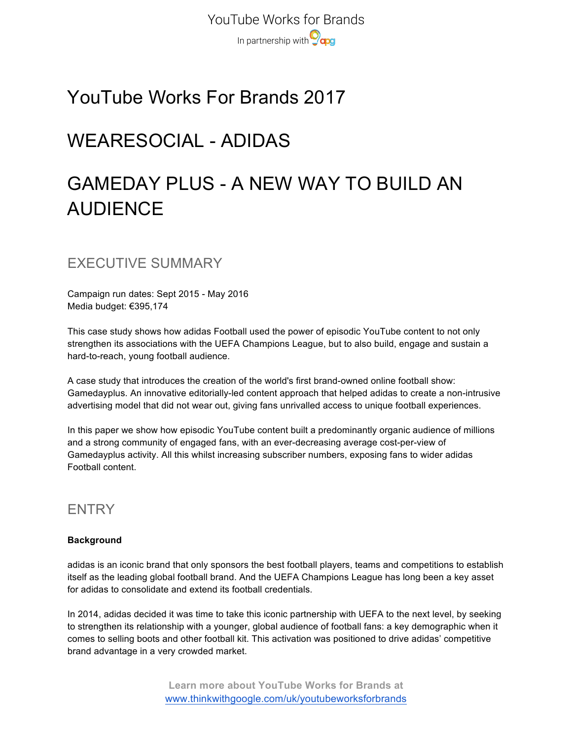YouTube Works for Brands In partnership with **O**qog

# YouTube Works For Brands 2017

# WEARESOCIAL - ADIDAS

# GAMEDAY PLUS - A NEW WAY TO BUILD AN AUDIENCE

EXECUTIVE SUMMARY

Campaign run dates: Sept 2015 - May 2016 Media budget: €395,174

This case study shows how adidas Football used the power of episodic YouTube content to not only strengthen its associations with the UEFA Champions League, but to also build, engage and sustain a hard-to-reach, young football audience.

A case study that introduces the creation of the world's first brand-owned online football show: Gamedayplus. An innovative editorially-led content approach that helped adidas to create a non-intrusive advertising model that did not wear out, giving fans unrivalled access to unique football experiences.

In this paper we show how episodic YouTube content built a predominantly organic audience of millions and a strong community of engaged fans, with an ever-decreasing average cost-per-view of Gamedayplus activity. All this whilst increasing subscriber numbers, exposing fans to wider adidas Football content.

## **ENTRY**

#### **Background**

adidas is an iconic brand that only sponsors the best football players, teams and competitions to establish itself as the leading global football brand. And the UEFA Champions League has long been a key asset for adidas to consolidate and extend its football credentials.

In 2014, adidas decided it was time to take this iconic partnership with UEFA to the next level, by seeking to strengthen its relationship with a younger, global audience of football fans: a key demographic when it comes to selling boots and other football kit. This activation was positioned to drive adidas' competitive brand advantage in a very crowded market.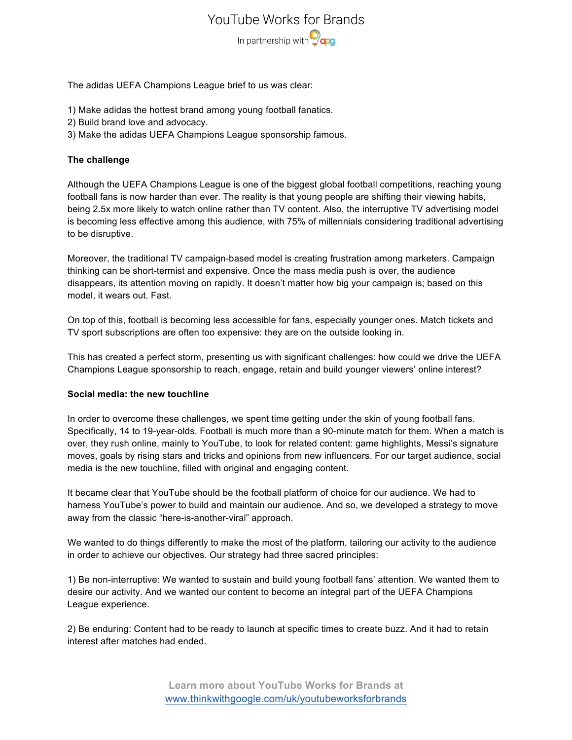### YouTube Works for Brands

In partnership with **O**qog

The adidas UEFA Champions League brief to us was clear:

- 1) Make adidas the hottest brand among young football fanatics.
- 2) Build brand love and advocacy.
- 3) Make the adidas UEFA Champions League sponsorship famous.

#### **The challenge**

Although the UEFA Champions League is one of the biggest global football competitions, reaching young football fans is now harder than ever. The reality is that young people are shifting their viewing habits, being 2.5x more likely to watch online rather than TV content. Also, the interruptive TV advertising model is becoming less effective among this audience, with 75% of millennials considering traditional advertising to be disruptive.

Moreover, the traditional TV campaign-based model is creating frustration among marketers. Campaign thinking can be short-termist and expensive. Once the mass media push is over, the audience disappears, its attention moving on rapidly. It doesn't matter how big your campaign is; based on this model, it wears out. Fast.

On top of this, football is becoming less accessible for fans, especially younger ones. Match tickets and TV sport subscriptions are often too expensive: they are on the outside looking in.

This has created a perfect storm, presenting us with significant challenges: how could we drive the UEFA Champions League sponsorship to reach, engage, retain and build younger viewers' online interest?

#### **Social media: the new touchline**

In order to overcome these challenges, we spent time getting under the skin of young football fans. Specifically, 14 to 19-year-olds. Football is much more than a 90-minute match for them. When a match is over, they rush online, mainly to YouTube, to look for related content: game highlights, Messi's signature moves, goals by rising stars and tricks and opinions from new influencers. For our target audience, social media is the new touchline, filled with original and engaging content.

It became clear that YouTube should be the football platform of choice for our audience. We had to harness YouTube's power to build and maintain our audience. And so, we developed a strategy to move away from the classic "here-is-another-viral" approach.

We wanted to do things differently to make the most of the platform, tailoring our activity to the audience in order to achieve our objectives. Our strategy had three sacred principles:

1) Be non-interruptive: We wanted to sustain and build young football fans' attention. We wanted them to desire our activity. And we wanted our content to become an integral part of the UEFA Champions League experience.

2) Be enduring: Content had to be ready to launch at specific times to create buzz. And it had to retain interest after matches had ended.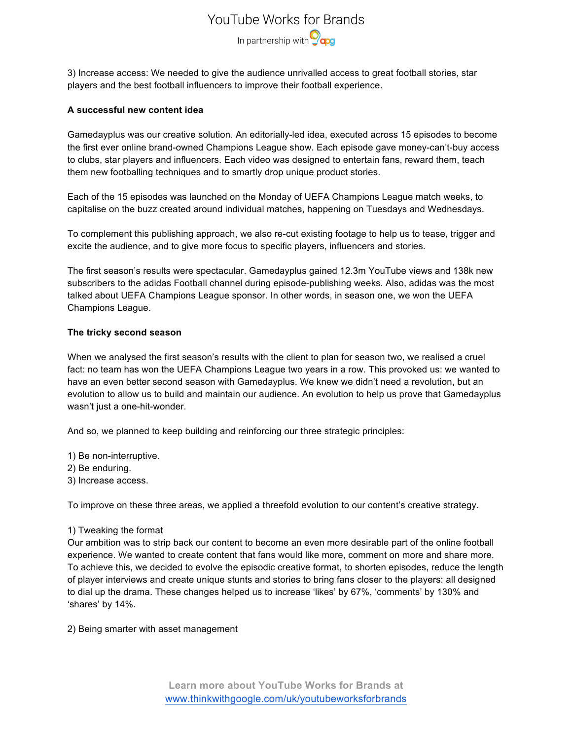## YouTube Works for Brands In partnership with **Ocaps**

3) Increase access: We needed to give the audience unrivalled access to great football stories, star players and the best football influencers to improve their football experience.

#### **A successful new content idea**

Gamedayplus was our creative solution. An editorially-led idea, executed across 15 episodes to become the first ever online brand-owned Champions League show. Each episode gave money-can't-buy access to clubs, star players and influencers. Each video was designed to entertain fans, reward them, teach them new footballing techniques and to smartly drop unique product stories.

Each of the 15 episodes was launched on the Monday of UEFA Champions League match weeks, to capitalise on the buzz created around individual matches, happening on Tuesdays and Wednesdays.

To complement this publishing approach, we also re-cut existing footage to help us to tease, trigger and excite the audience, and to give more focus to specific players, influencers and stories.

The first season's results were spectacular. Gamedayplus gained 12.3m YouTube views and 138k new subscribers to the adidas Football channel during episode-publishing weeks. Also, adidas was the most talked about UEFA Champions League sponsor. In other words, in season one, we won the UEFA Champions League.

#### **The tricky second season**

When we analysed the first season's results with the client to plan for season two, we realised a cruel fact: no team has won the UEFA Champions League two years in a row. This provoked us: we wanted to have an even better second season with Gamedayplus. We knew we didn't need a revolution, but an evolution to allow us to build and maintain our audience. An evolution to help us prove that Gamedayplus wasn't just a one-hit-wonder.

And so, we planned to keep building and reinforcing our three strategic principles:

1) Be non-interruptive.

- 2) Be enduring.
- 3) Increase access.

To improve on these three areas, we applied a threefold evolution to our content's creative strategy.

#### 1) Tweaking the format

Our ambition was to strip back our content to become an even more desirable part of the online football experience. We wanted to create content that fans would like more, comment on more and share more. To achieve this, we decided to evolve the episodic creative format, to shorten episodes, reduce the length of player interviews and create unique stunts and stories to bring fans closer to the players: all designed to dial up the drama. These changes helped us to increase 'likes' by 67%, 'comments' by 130% and 'shares' by 14%.

2) Being smarter with asset management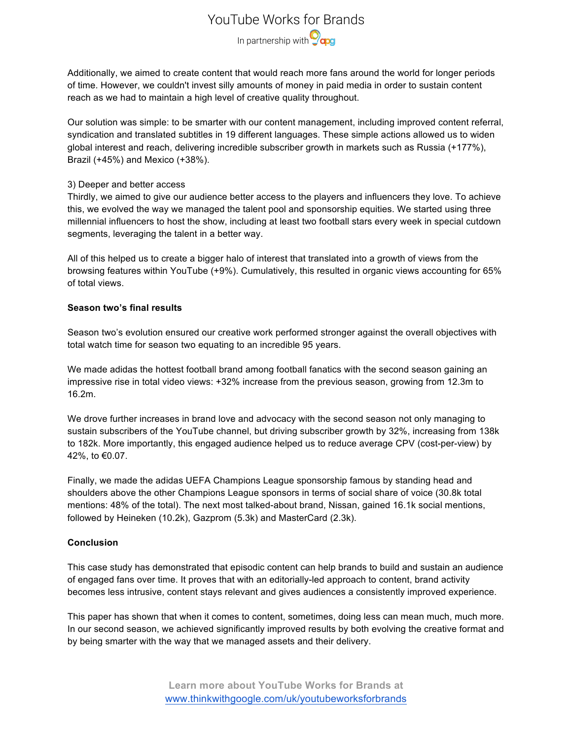### YouTube Works for Brands

In partnership with **Ocaps** 

Additionally, we aimed to create content that would reach more fans around the world for longer periods of time. However, we couldn't invest silly amounts of money in paid media in order to sustain content reach as we had to maintain a high level of creative quality throughout.

Our solution was simple: to be smarter with our content management, including improved content referral, syndication and translated subtitles in 19 different languages. These simple actions allowed us to widen global interest and reach, delivering incredible subscriber growth in markets such as Russia (+177%), Brazil (+45%) and Mexico (+38%).

#### 3) Deeper and better access

Thirdly, we aimed to give our audience better access to the players and influencers they love. To achieve this, we evolved the way we managed the talent pool and sponsorship equities. We started using three millennial influencers to host the show, including at least two football stars every week in special cutdown segments, leveraging the talent in a better way.

All of this helped us to create a bigger halo of interest that translated into a growth of views from the browsing features within YouTube (+9%). Cumulatively, this resulted in organic views accounting for 65% of total views.

#### **Season two's final results**

Season two's evolution ensured our creative work performed stronger against the overall objectives with total watch time for season two equating to an incredible 95 years.

We made adidas the hottest football brand among football fanatics with the second season gaining an impressive rise in total video views: +32% increase from the previous season, growing from 12.3m to 16.2m.

We drove further increases in brand love and advocacy with the second season not only managing to sustain subscribers of the YouTube channel, but driving subscriber growth by 32%, increasing from 138k to 182k. More importantly, this engaged audience helped us to reduce average CPV (cost-per-view) by 42%, to €0.07.

Finally, we made the adidas UEFA Champions League sponsorship famous by standing head and shoulders above the other Champions League sponsors in terms of social share of voice (30.8k total mentions: 48% of the total). The next most talked-about brand, Nissan, gained 16.1k social mentions, followed by Heineken (10.2k), Gazprom (5.3k) and MasterCard (2.3k).

#### **Conclusion**

This case study has demonstrated that episodic content can help brands to build and sustain an audience of engaged fans over time. It proves that with an editorially-led approach to content, brand activity becomes less intrusive, content stays relevant and gives audiences a consistently improved experience.

This paper has shown that when it comes to content, sometimes, doing less can mean much, much more. In our second season, we achieved significantly improved results by both evolving the creative format and by being smarter with the way that we managed assets and their delivery.